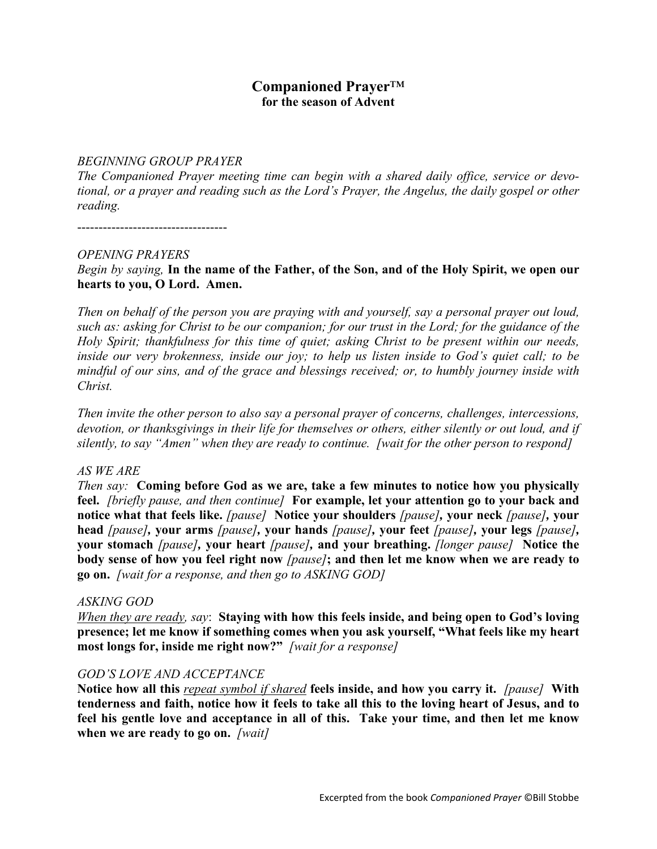## **Companioned Prayer**™ **for the season of Advent**

#### *BEGINNING GROUP PRAYER*

*The Companioned Prayer meeting time can begin with a shared daily office, service or devotional, or a prayer and reading such as the Lord's Prayer, the Angelus, the daily gospel or other reading.*

-----------------------------------

#### *OPENING PRAYERS*

*Begin by saying,* **In the name of the Father, of the Son, and of the Holy Spirit, we open our hearts to you, O Lord. Amen.**

*Then on behalf of the person you are praying with and yourself, say a personal prayer out loud, such as: asking for Christ to be our companion; for our trust in the Lord; for the guidance of the Holy Spirit; thankfulness for this time of quiet; asking Christ to be present within our needs, inside our very brokenness, inside our joy; to help us listen inside to God's quiet call; to be mindful of our sins, and of the grace and blessings received; or, to humbly journey inside with Christ.*

*Then invite the other person to also say a personal prayer of concerns, challenges, intercessions, devotion, or thanksgivings in their life for themselves or others, either silently or out loud, and if silently, to say "Amen" when they are ready to continue. [wait for the other person to respond]*

## *AS WE ARE*

*Then say:* **Coming before God as we are, take a few minutes to notice how you physically feel.** *[briefly pause, and then continue]* **For example, let your attention go to your back and notice what that feels like.** *[pause]* **Notice your shoulders** *[pause],* **your neck** *[pause],* **your head** *[pause],* **your arms** *[pause],* **your hands** *[pause],* **your feet** *[pause],* **your legs** *[pause],*  **your stomach** *[pause],* **your heart** *[pause],* **and your breathing.** *[longer pause]* **Notice the body sense of how you feel right now** *[pause]***; and then let me know when we are ready to go on.** *[wait for a response, and then go to ASKING GOD]*

## *ASKING GOD*

*When they are ready, say*: **Staying with how this feels inside, and being open to God's loving presence; let me know if something comes when you ask yourself, "What feels like my heart most longs for, inside me right now?"** *[wait for a response]*

## *GOD'S LOVE AND ACCEPTANCE*

**Notice how all this** *repeat symbol if shared* **feels inside, and how you carry it.** *[pause]* **With tenderness and faith, notice how it feels to take all this to the loving heart of Jesus, and to feel his gentle love and acceptance in all of this. Take your time, and then let me know when we are ready to go on.** *[wait]*